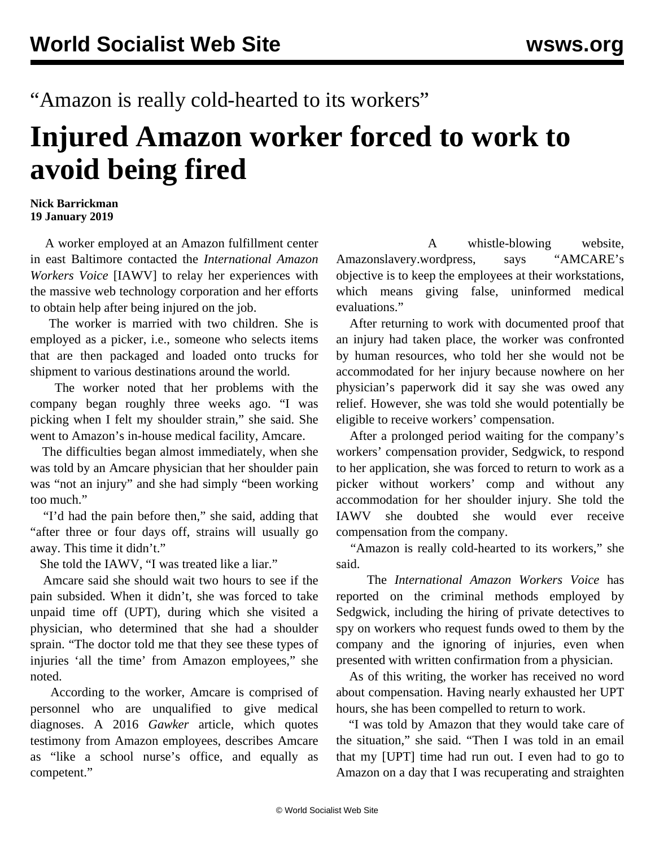"Amazon is really cold-hearted to its workers"

## **Injured Amazon worker forced to work to avoid being fired**

## **Nick Barrickman 19 January 2019**

 A worker employed at an Amazon fulfillment center in east Baltimore contacted the *International Amazon Workers Voice* [IAWV] to relay her experiences with the massive web technology corporation and her efforts to obtain help after being injured on the job.

 The worker is married with two children. She is employed as a picker, i.e., someone who selects items that are then packaged and loaded onto trucks for shipment to various destinations around the world.

 The worker noted that her problems with the company began roughly three weeks ago. "I was picking when I felt my shoulder strain," she said. She went to Amazon's in-house medical facility, Amcare.

 The difficulties began almost immediately, when she was told by an Amcare physician that her shoulder pain was "not an injury" and she had simply "been working too much."

 "I'd had the pain before then," she said, adding that "after three or four days off, strains will usually go away. This time it didn't."

She told the IAWV, "I was treated like a liar."

 Amcare said she should wait two hours to see if the pain subsided. When it didn't, she was forced to take unpaid time off (UPT), during which she visited a physician, who determined that she had a shoulder sprain. "The doctor told me that they see these types of injuries 'all the time' from Amazon employees," she noted.

 According to the worker, Amcare is comprised of personnel who are unqualified to give medical diagnoses. A 2016 *Gawker* article, which quotes testimony from Amazon employees, describes Amcare as "like a school nurse's office, and equally as competent."

 A whistle-blowing website, Amazonslavery.wordpress, says "AMCARE's objective is to keep the employees at their workstations, which means giving false, uninformed medical evaluations."

 After returning to work with documented proof that an injury had taken place, the worker was confronted by human resources, who told her she would not be accommodated for her injury because nowhere on her physician's paperwork did it say she was owed any relief. However, she was told she would potentially be eligible to receive workers' compensation.

 After a prolonged period waiting for the company's workers' compensation provider, Sedgwick, to respond to her application, she was forced to return to work as a picker without workers' comp and without any accommodation for her shoulder injury. She told the IAWV she doubted she would ever receive compensation from the company.

 "Amazon is really cold-hearted to its workers," she said.

 The *International Amazon Workers Voice* has reported on the criminal methods employed by [Sedgwick,](/en/articles/2018/10/10/amaz-o10.html) including the hiring of [private detectives](/en/articles/2018/12/22/amaz-d22.html) to spy on workers who request funds owed to them by the company and the [ignoring](/en/articles/2018/05/08/amaz-m08.html) of injuries, even when presented with written confirmation from a physician.

 As of this writing, the worker has received no word about compensation. Having nearly exhausted her UPT hours, she has been compelled to return to work.

 "I was told by Amazon that they would take care of the situation," she said. "Then I was told in an email that my [UPT] time had run out. I even had to go to Amazon on a day that I was recuperating and straighten